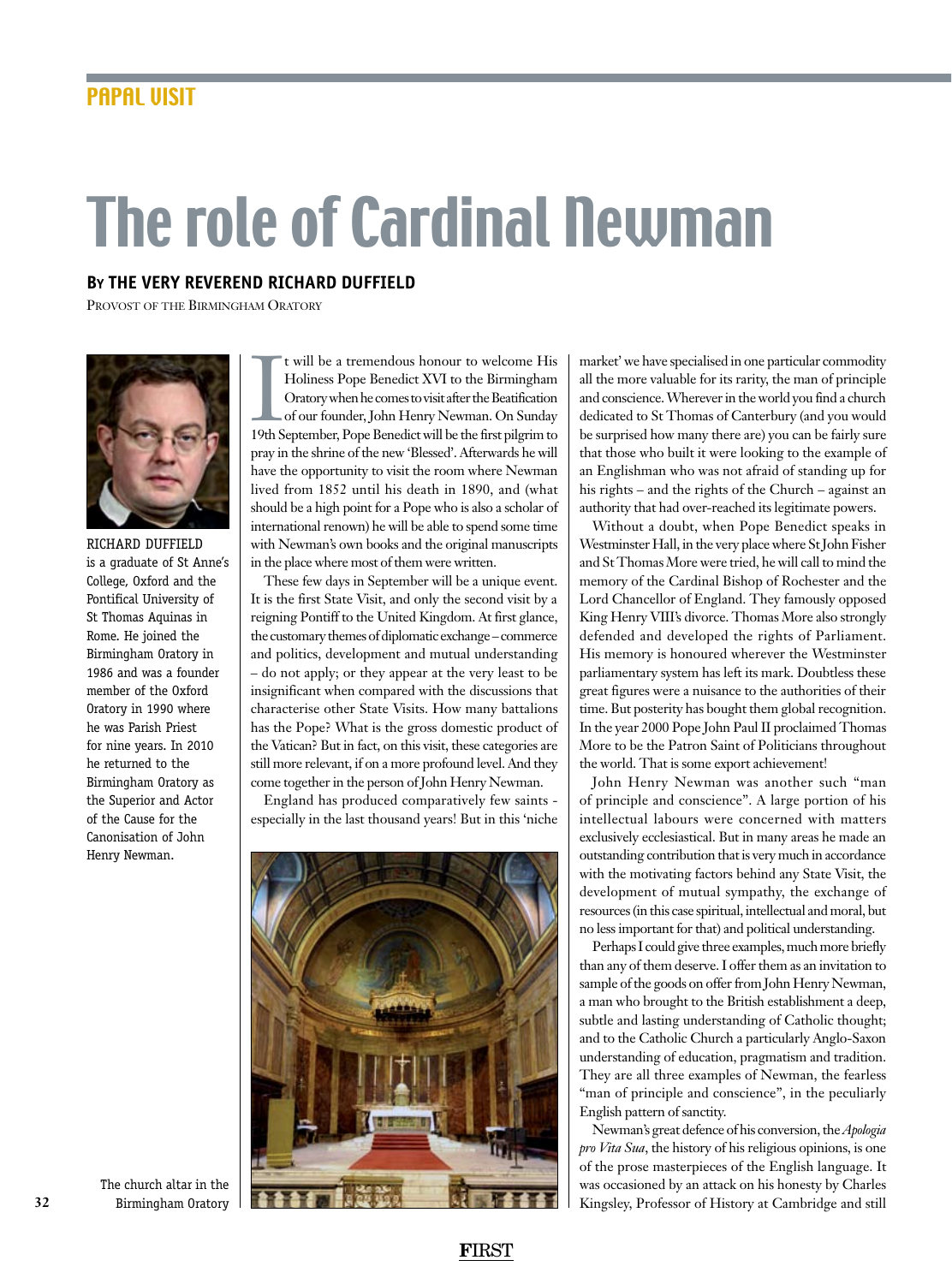## The role of Cardinal Newman

## **By the Very Reverend Richard Duffield**

Provost of the Birmingham Oratory



Richard Duffield is a graduate of St Anne's College, Oxford and the Pontifical University of St Thomas Aquinas in Rome. He joined the Birmingham Oratory in 1986 and was a founder member of the Oxford Oratory in 1990 where he was Parish Priest for nine years. In 2010 he returned to the Birmingham Oratory as the Superior and Actor of the Cause for the Canonisation of John Henry Newman.

It will be a tremendous honour to welcome His<br>Holiness Pope Benedict XVI to the Birmingham<br>Oratory when he comes to visit after the Beatification<br>of our founder, John Henry Newman. On Sunday<br>19th September, Pope Benedict w t will be a tremendous honour to welcome His Holiness Pope Benedict XVI to the Birmingham Oratory when he comes to visit after the Beatification of our founder, John Henry Newman. On Sunday pray in the shrine of the new 'Blessed'. Afterwards he will have the opportunity to visit the room where Newman lived from 1852 until his death in 1890, and (what should be a high point for a Pope who is also a scholar of international renown) he will be able to spend some time with Newman's own books and the original manuscripts in the place where most of them were written.

These few days in September will be a unique event. It is the first State Visit, and only the second visit by a reigning Pontiff to the United Kingdom. At first glance, the customary themes of diplomatic exchange – commerce and politics, development and mutual understanding – do not apply; or they appear at the very least to be insignificant when compared with the discussions that characterise other State Visits. How many battalions has the Pope? What is the gross domestic product of the Vatican? But in fact, on this visit, these categories are still more relevant, if on a more profound level. And they come together in the person of John Henry Newman.

England has produced comparatively few saints especially in the last thousand years! But in this 'niche



market' we have specialised in one particular commodity all the more valuable for its rarity, the man of principle and conscience. Wherever in the world you find a church dedicated to St Thomas of Canterbury (and you would be surprised how many there are) you can be fairly sure that those who built it were looking to the example of an Englishman who was not afraid of standing up for his rights – and the rights of the Church – against an authority that had over-reached its legitimate powers.

Without a doubt, when Pope Benedict speaks in Westminster Hall, in the very place where St John Fisher and St Thomas More were tried, he will call to mind the memory of the Cardinal Bishop of Rochester and the Lord Chancellor of England. They famously opposed King Henry VIII's divorce. Thomas More also strongly defended and developed the rights of Parliament. His memory is honoured wherever the Westminster parliamentary system has left its mark. Doubtless these great figures were a nuisance to the authorities of their time. But posterity has bought them global recognition. In the year 2000 Pope John Paul II proclaimed Thomas More to be the Patron Saint of Politicians throughout the world. That is some export achievement!

John Henry Newman was another such "man of principle and conscience". A large portion of his intellectual labours were concerned with matters exclusively ecclesiastical. But in many areas he made an outstanding contribution that is very much in accordance with the motivating factors behind any State Visit, the development of mutual sympathy, the exchange of resources (in this case spiritual, intellectual and moral, but no less important for that) and political understanding.

Perhaps I could give three examples, much more briefly than any of them deserve. I offer them as an invitation to sample of the goods on offer from John Henry Newman, a man who brought to the British establishment a deep, subtle and lasting understanding of Catholic thought; and to the Catholic Church a particularly Anglo-Saxon understanding of education, pragmatism and tradition. They are all three examples of Newman, the fearless "man of principle and conscience", in the peculiarly English pattern of sanctity.

Newman's great defence of his conversion, the *Apologia pro Vita Sua*, the history of his religious opinions, is one of the prose masterpieces of the English language. It was occasioned by an attack on his honesty by Charles Kingsley, Professor of History at Cambridge and still

The church altar in the Birmingham Oratory